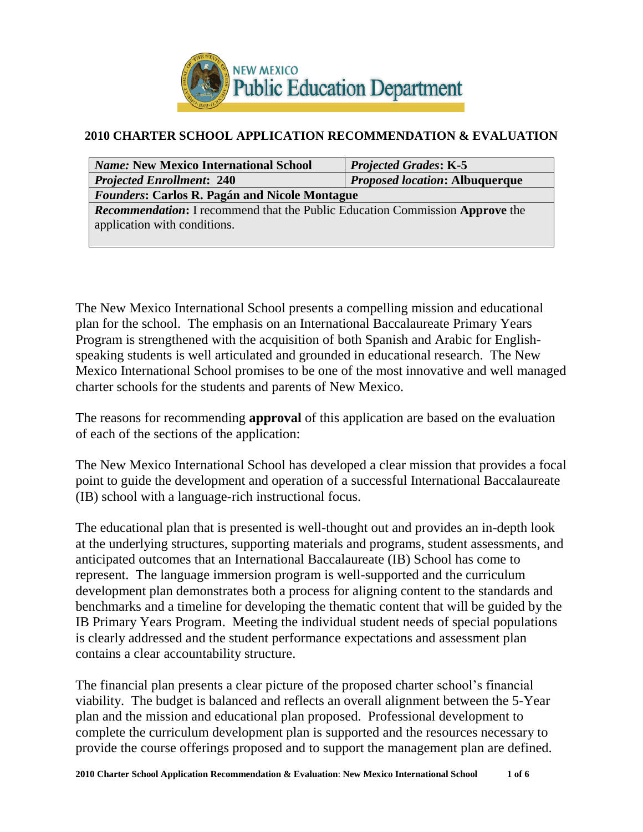

# **2010 CHARTER SCHOOL APPLICATION RECOMMENDATION & EVALUATION**

| <i>Name:</i> New Mexico International School                                        | <b>Projected Grades: K-5</b> |  |  |  |
|-------------------------------------------------------------------------------------|------------------------------|--|--|--|
| <i>Proposed location: Albuquerque</i><br><b>Projected Enrollment: 240</b>           |                              |  |  |  |
| <b>Founders: Carlos R. Pagán and Nicole Montague</b>                                |                              |  |  |  |
| <b>Recommendation:</b> I recommend that the Public Education Commission Approve the |                              |  |  |  |
| application with conditions.                                                        |                              |  |  |  |
|                                                                                     |                              |  |  |  |

The New Mexico International School presents a compelling mission and educational plan for the school. The emphasis on an International Baccalaureate Primary Years Program is strengthened with the acquisition of both Spanish and Arabic for Englishspeaking students is well articulated and grounded in educational research. The New Mexico International School promises to be one of the most innovative and well managed charter schools for the students and parents of New Mexico.

The reasons for recommending **approval** of this application are based on the evaluation of each of the sections of the application:

The New Mexico International School has developed a clear mission that provides a focal point to guide the development and operation of a successful International Baccalaureate (IB) school with a language-rich instructional focus.

The educational plan that is presented is well-thought out and provides an in-depth look at the underlying structures, supporting materials and programs, student assessments, and anticipated outcomes that an International Baccalaureate (IB) School has come to represent. The language immersion program is well-supported and the curriculum development plan demonstrates both a process for aligning content to the standards and benchmarks and a timeline for developing the thematic content that will be guided by the IB Primary Years Program. Meeting the individual student needs of special populations is clearly addressed and the student performance expectations and assessment plan contains a clear accountability structure.

The financial plan presents a clear picture of the proposed charter school's financial viability. The budget is balanced and reflects an overall alignment between the 5-Year plan and the mission and educational plan proposed. Professional development to complete the curriculum development plan is supported and the resources necessary to provide the course offerings proposed and to support the management plan are defined.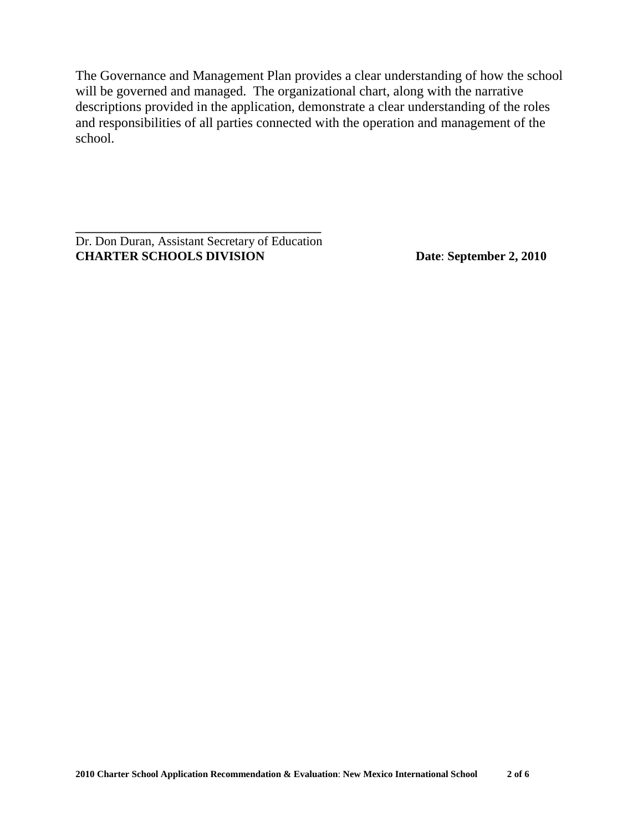The Governance and Management Plan provides a clear understanding of how the school will be governed and managed. The organizational chart, along with the narrative descriptions provided in the application, demonstrate a clear understanding of the roles and responsibilities of all parties connected with the operation and management of the school.

Dr. Don Duran, Assistant Secretary of Education **CHARTER SCHOOLS DIVISION Date**: **September 2, 2010**

**\_\_\_\_\_\_\_\_\_\_\_\_\_\_\_\_\_\_\_\_\_\_\_\_\_\_\_\_\_\_\_\_\_\_\_\_\_\_\_**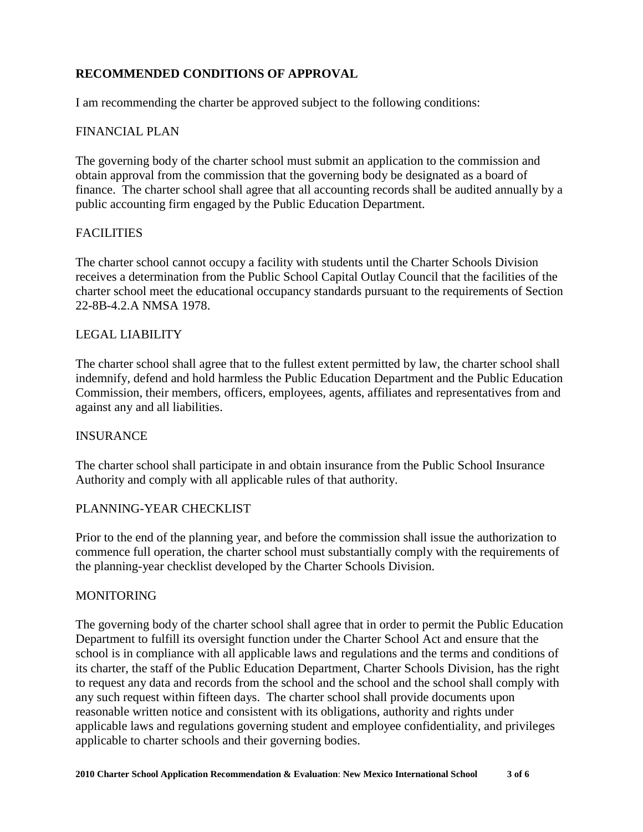## **RECOMMENDED CONDITIONS OF APPROVAL**

I am recommending the charter be approved subject to the following conditions:

## FINANCIAL PLAN

The governing body of the charter school must submit an application to the commission and obtain approval from the commission that the governing body be designated as a board of finance. The charter school shall agree that all accounting records shall be audited annually by a public accounting firm engaged by the Public Education Department.

#### FACILITIES

The charter school cannot occupy a facility with students until the Charter Schools Division receives a determination from the Public School Capital Outlay Council that the facilities of the charter school meet the educational occupancy standards pursuant to the requirements of Section 22-8B-4.2.A NMSA 1978.

#### LEGAL LIABILITY

The charter school shall agree that to the fullest extent permitted by law, the charter school shall indemnify, defend and hold harmless the Public Education Department and the Public Education Commission, their members, officers, employees, agents, affiliates and representatives from and against any and all liabilities.

#### **INSURANCE**

The charter school shall participate in and obtain insurance from the Public School Insurance Authority and comply with all applicable rules of that authority.

#### PLANNING-YEAR CHECKLIST

Prior to the end of the planning year, and before the commission shall issue the authorization to commence full operation, the charter school must substantially comply with the requirements of the planning-year checklist developed by the Charter Schools Division.

#### MONITORING

The governing body of the charter school shall agree that in order to permit the Public Education Department to fulfill its oversight function under the Charter School Act and ensure that the school is in compliance with all applicable laws and regulations and the terms and conditions of its charter, the staff of the Public Education Department, Charter Schools Division, has the right to request any data and records from the school and the school and the school shall comply with any such request within fifteen days. The charter school shall provide documents upon reasonable written notice and consistent with its obligations, authority and rights under applicable laws and regulations governing student and employee confidentiality, and privileges applicable to charter schools and their governing bodies.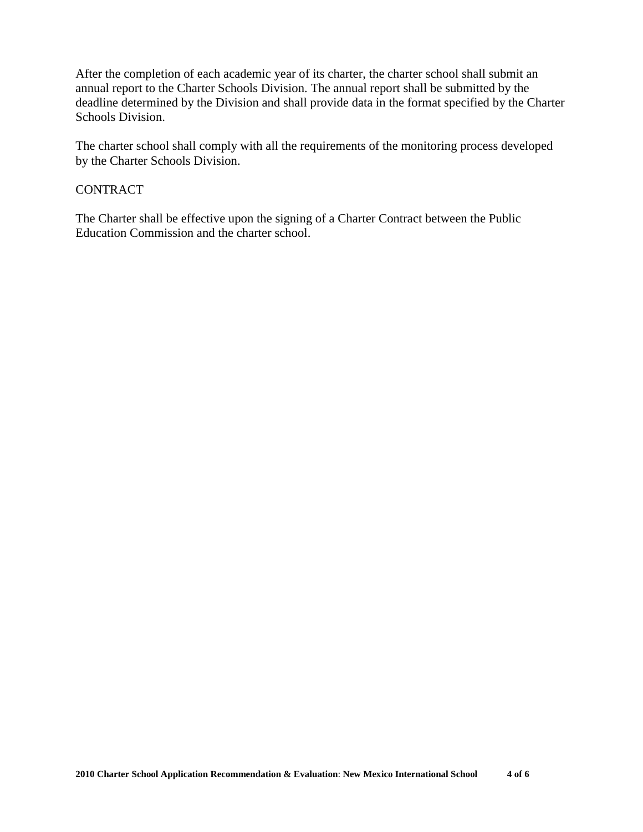After the completion of each academic year of its charter, the charter school shall submit an annual report to the Charter Schools Division. The annual report shall be submitted by the deadline determined by the Division and shall provide data in the format specified by the Charter Schools Division.

The charter school shall comply with all the requirements of the monitoring process developed by the Charter Schools Division.

## CONTRACT

The Charter shall be effective upon the signing of a Charter Contract between the Public Education Commission and the charter school.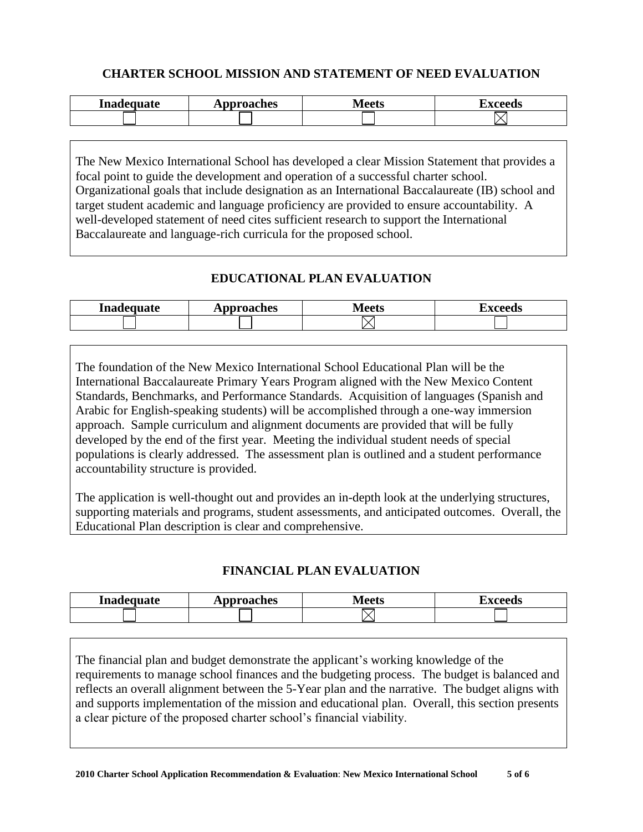# **CHARTER SCHOOL MISSION AND STATEMENT OF NEED EVALUATION**

| Inadequate | Approaches | al aatc<br><b>IVILLES</b> | I YAAANG<br>- ccus-<br>LZA. |
|------------|------------|---------------------------|-----------------------------|
|            |            |                           |                             |

The New Mexico International School has developed a clear Mission Statement that provides a focal point to guide the development and operation of a successful charter school. Organizational goals that include designation as an International Baccalaureate (IB) school and target student academic and language proficiency are provided to ensure accountability. A well-developed statement of need cites sufficient research to support the International Baccalaureate and language-rich curricula for the proposed school.

# **EDUCATIONAL PLAN EVALUATION**

| Inadequate | oproaches<br><b><i>III</i></b> | 10.05<br>د ت | $-1$ |
|------------|--------------------------------|--------------|------|
|            |                                |              |      |

The foundation of the New Mexico International School Educational Plan will be the International Baccalaureate Primary Years Program aligned with the New Mexico Content Standards, Benchmarks, and Performance Standards. Acquisition of languages (Spanish and Arabic for English-speaking students) will be accomplished through a one-way immersion approach. Sample curriculum and alignment documents are provided that will be fully developed by the end of the first year. Meeting the individual student needs of special populations is clearly addressed. The assessment plan is outlined and a student performance accountability structure is provided.

The application is well-thought out and provides an in-depth look at the underlying structures, supporting materials and programs, student assessments, and anticipated outcomes. Overall, the Educational Plan description is clear and comprehensive.

# **FINANCIAL PLAN EVALUATION**

| Inadequate | pproaches | Maate | –                     |
|------------|-----------|-------|-----------------------|
|            | лы        | www   | <b><i>Propodc</i></b> |
|            |           |       |                       |

The financial plan and budget demonstrate the applicant's working knowledge of the requirements to manage school finances and the budgeting process. The budget is balanced and reflects an overall alignment between the 5-Year plan and the narrative. The budget aligns with and supports implementation of the mission and educational plan. Overall, this section presents a clear picture of the proposed charter school's financial viability.